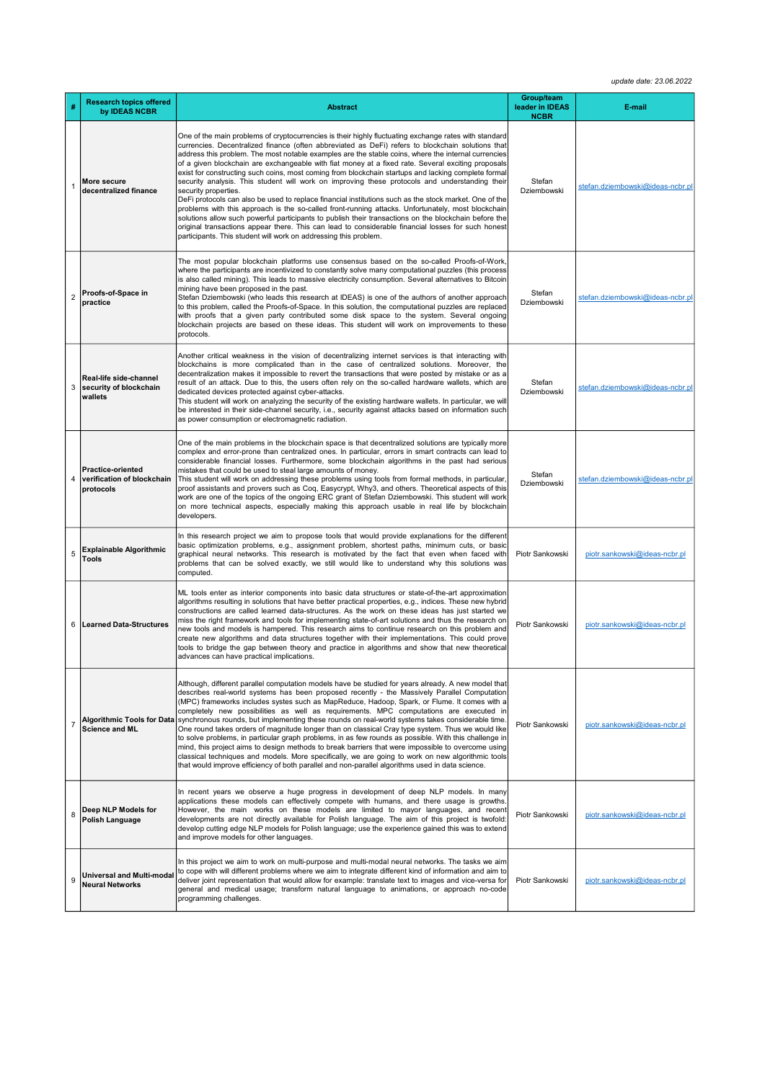update date: 23.06.2022

| #              | <b>Research topics offered</b><br>by IDEAS NCBR                     | <b>Abstract</b>                                                                                                                                                                                                                                                                                                                                                                                                                                                                                                                                                                                                                                                                                                                                                                                                                                                                                                                                                                                                                                                                                                                                             | Group/team<br>leader in IDEAS<br><b>NCBR</b> | E-mail                           |
|----------------|---------------------------------------------------------------------|-------------------------------------------------------------------------------------------------------------------------------------------------------------------------------------------------------------------------------------------------------------------------------------------------------------------------------------------------------------------------------------------------------------------------------------------------------------------------------------------------------------------------------------------------------------------------------------------------------------------------------------------------------------------------------------------------------------------------------------------------------------------------------------------------------------------------------------------------------------------------------------------------------------------------------------------------------------------------------------------------------------------------------------------------------------------------------------------------------------------------------------------------------------|----------------------------------------------|----------------------------------|
| 1              | More secure<br>decentralized finance                                | One of the main problems of cryptocurrencies is their highly fluctuating exchange rates with standard<br>currencies. Decentralized finance (often abbreviated as DeFi) refers to blockchain solutions that<br>address this problem. The most notable examples are the stable coins, where the internal currencies<br>of a given blockchain are exchangeable with fiat money at a fixed rate. Several exciting proposals<br>exist for constructing such coins, most coming from blockchain startups and lacking complete formal<br>security analysis. This student will work on improving these protocols and understanding their<br>security properties.<br>DeFi protocols can also be used to replace financial institutions such as the stock market. One of the<br>problems with this approach is the so-called front-running attacks. Unfortunately, most blockchain<br>solutions allow such powerful participants to publish their transactions on the blockchain before the<br>original transactions appear there. This can lead to considerable financial losses for such honest<br>participants. This student will work on addressing this problem. | Stefan<br>Dziembowski                        | stefan.dziembowski@ideas-ncbr.pl |
| 2              | Proofs-of-Space in<br>practice                                      | The most popular blockchain platforms use consensus based on the so-called Proofs-of-Work,<br>where the participants are incentivized to constantly solve many computational puzzles (this process<br>is also called mining). This leads to massive electricity consumption. Several alternatives to Bitcoin<br>mining have been proposed in the past.<br>Stefan Dziembowski (who leads this research at IDEAS) is one of the authors of another approach<br>to this problem, called the Proofs-of-Space. In this solution, the computational puzzles are replaced<br>with proofs that a given party contributed some disk space to the system. Several ongoing<br>blockchain projects are based on these ideas. This student will work on improvements to these<br>protocols.                                                                                                                                                                                                                                                                                                                                                                              | Stefan<br>Dziembowski                        | stefan.dziembowski@ideas-ncbr.pl |
| 3              | Real-life side-channel<br>security of blockchain<br>wallets         | Another critical weakness in the vision of decentralizing internet services is that interacting with<br>blockchains is more complicated than in the case of centralized solutions. Moreover, the<br>decentralization makes it impossible to revert the transactions that were posted by mistake or as a<br>result of an attack. Due to this, the users often rely on the so-called hardware wallets, which are<br>dedicated devices protected against cyber-attacks.<br>This student will work on analyzing the security of the existing hardware wallets. In particular, we will<br>be interested in their side-channel security, i.e., security against attacks based on information such<br>as power consumption or electromagnetic radiation.                                                                                                                                                                                                                                                                                                                                                                                                           | Stefan<br>Dziembowski                        | stefan.dziembowski@ideas-ncbr.pl |
| 4              | <b>Practice-oriented</b><br>verification of blockchain<br>protocols | One of the main problems in the blockchain space is that decentralized solutions are typically more<br>complex and error-prone than centralized ones. In particular, errors in smart contracts can lead to<br>considerable financial losses. Furthermore, some blockchain algorithms in the past had serious<br>mistakes that could be used to steal large amounts of money.<br>This student will work on addressing these problems using tools from formal methods, in particular,<br>proof assistants and provers such as Coq, Easycrypt, Why3, and others. Theoretical aspects of this<br>work are one of the topics of the ongoing ERC grant of Stefan Dziembowski. This student will work<br>on more technical aspects, especially making this approach usable in real life by blockchain<br>developers.                                                                                                                                                                                                                                                                                                                                               | Stefan<br>Dziembowski                        | stefan.dziembowski@ideas-ncbr.pl |
| 5              | <b>Explainable Algorithmic</b><br><b>Tools</b>                      | In this research project we aim to propose tools that would provide explanations for the different<br>basic optimization problems, e.g., assignment problem, shortest paths, minimum cuts, or basic<br>graphical neural networks. This research is motivated by the fact that even when faced with<br>problems that can be solved exactly, we still would like to understand why this solutions was<br>computed.                                                                                                                                                                                                                                                                                                                                                                                                                                                                                                                                                                                                                                                                                                                                            | Piotr Sankowski                              | piotr.sankowski@ideas-ncbr.pl    |
| 6              | Learned Data-Structures                                             | ML tools enter as interior components into basic data structures or state-of-the-art approximation<br>algorithms resulting in solutions that have better practical properties, e.g., indices. These new hybrid<br>constructions are called learned data-structures. As the work on these ideas has just started we<br>miss the right framework and tools for implementing state-of-art solutions and thus the research on<br>new tools and models is hampered. This research aims to continue research on this problem and<br>create new algorithms and data structures together with their implementations. This could prove<br>tools to bridge the gap between theory and practice in algorithms and show that new theoretical<br>advances can have practical implications.                                                                                                                                                                                                                                                                                                                                                                               | Piotr Sankowski                              | piotr.sankowski@ideas-ncbr.pl    |
| $\overline{7}$ | <b>Science and ML</b>                                               | Although, different parallel computation models have be studied for years already. A new model that<br>describes real-world systems has been proposed recently - the Massively Parallel Computation<br>(MPC) frameworks includes systes such as MapReduce, Hadoop, Spark, or Flume. It comes with a<br>completely new possibilities as well as requirements. MPC computations are executed in<br>Algorithmic Tools for Data synchronous rounds, but implementing these rounds on real-world systems takes considerable time.<br>One round takes orders of magnitude longer than on classical Cray type system. Thus we would like<br>to solve problems, in particular graph problems, in as few rounds as possible. With this challenge in<br>mind, this project aims to design methods to break barriers that were impossible to overcome using<br>classical techniques and models. More specifically, we are going to work on new algorithmic tools<br>that would improve efficiency of both parallel and non-parallel algorithms used in data science.                                                                                                   | Piotr Sankowski                              | piotr.sankowski@ideas-ncbr.pl    |
| 8              | Deep NLP Models for<br>Polish Language                              | In recent years we observe a huge progress in development of deep NLP models. In many<br>applications these models can effectively compete with humans, and there usage is growths.<br>However, the main works on these models are limited to mayor languages, and recent<br>developments are not directly available for Polish language. The aim of this project is twofold:<br>develop cutting edge NLP models for Polish language; use the experience gained this was to extend<br>and improve models for other languages.                                                                                                                                                                                                                                                                                                                                                                                                                                                                                                                                                                                                                               | Piotr Sankowski                              | piotr.sankowski@ideas-ncbr.pl    |
| 9              | <b>Universal and Multi-modal</b><br><b>Neural Networks</b>          | In this project we aim to work on multi-purpose and multi-modal neural networks. The tasks we aim<br>to cope with will different problems where we aim to integrate different kind of information and aim to<br>deliver joint representation that would allow for example: translate text to images and vice-versa for<br>general and medical usage; transform natural language to animations, or approach no-code<br>programming challenges.                                                                                                                                                                                                                                                                                                                                                                                                                                                                                                                                                                                                                                                                                                               | Piotr Sankowski                              | piotr.sankowski@ideas-ncbr.pl    |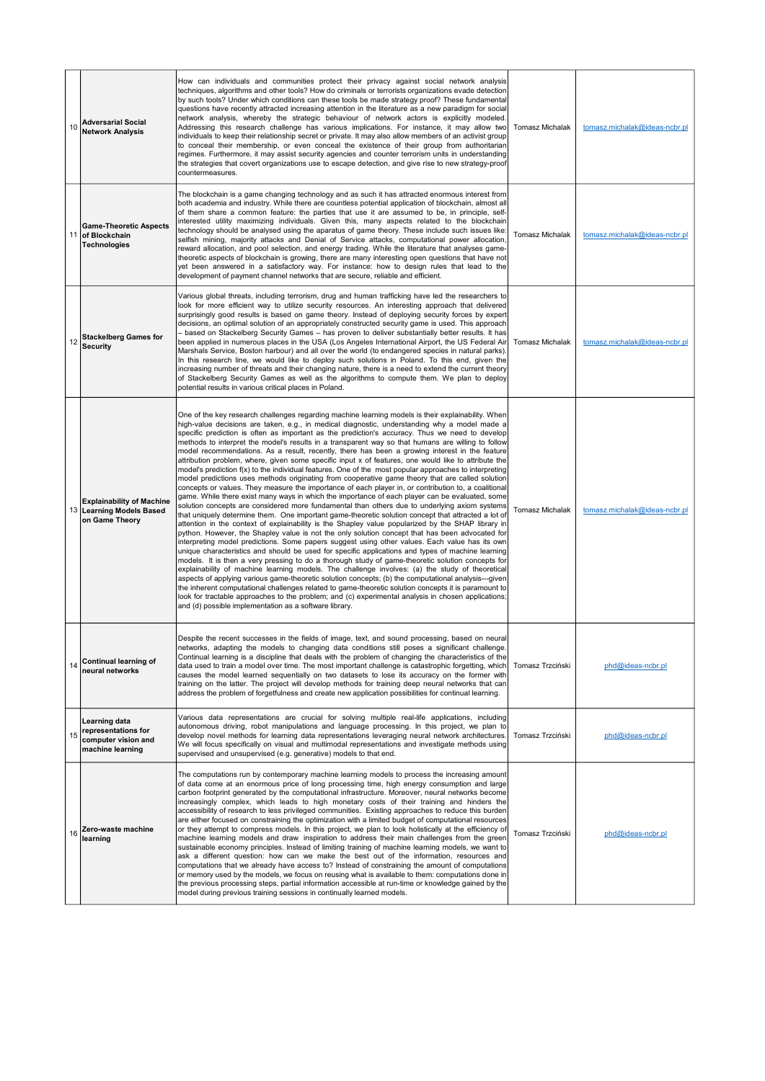| 10 | <b>Adversarial Social</b><br><b>Network Analysis</b>                            | How can individuals and communities protect their privacy against social network analysis<br>techniques, algorithms and other tools? How do criminals or terrorists organizations evade detection<br>by such tools? Under which conditions can these tools be made strategy proof? These fundamental<br>questions have recently attracted increasing attention in the literature as a new paradigm for social<br>network analysis, whereby the strategic behaviour of network actors is explicitly modeled.<br>Addressing this research challenge has various implications. For instance, it may allow two<br>individuals to keep their relationship secret or private. It may also allow members of an activist group<br>to conceal their membership, or even conceal the existence of their group from authoritarian<br>regimes. Furthermore, it may assist security agencies and counter terrorism units in understanding<br>the strategies that covert organizations use to escape detection, and give rise to new strategy-proof<br>countermeasures.                                                                                                                                                                                                                                                                                                                                                                                                                                                                                                                                                                                                                                                                                                                                                                                                                                                                                                                                                                                                                                                                                                                                                                                                         | Tomasz Michalak        | tomasz.michalak@ideas-ncbr.pl |
|----|---------------------------------------------------------------------------------|-------------------------------------------------------------------------------------------------------------------------------------------------------------------------------------------------------------------------------------------------------------------------------------------------------------------------------------------------------------------------------------------------------------------------------------------------------------------------------------------------------------------------------------------------------------------------------------------------------------------------------------------------------------------------------------------------------------------------------------------------------------------------------------------------------------------------------------------------------------------------------------------------------------------------------------------------------------------------------------------------------------------------------------------------------------------------------------------------------------------------------------------------------------------------------------------------------------------------------------------------------------------------------------------------------------------------------------------------------------------------------------------------------------------------------------------------------------------------------------------------------------------------------------------------------------------------------------------------------------------------------------------------------------------------------------------------------------------------------------------------------------------------------------------------------------------------------------------------------------------------------------------------------------------------------------------------------------------------------------------------------------------------------------------------------------------------------------------------------------------------------------------------------------------------------------------------------------------------------------------------------------------|------------------------|-------------------------------|
| 11 | <b>Game-Theoretic Aspects</b><br>of Blockchain<br><b>Technologies</b>           | The blockchain is a game changing technology and as such it has attracted enormous interest from<br>both academia and industry. While there are countless potential application of blockchain, almost all<br>of them share a common feature: the parties that use it are assumed to be, in principle, self-<br>interested utility maximizing individuals. Given this, many aspects related to the blockchain<br>technology should be analysed using the aparatus of game theory. These include such issues like:<br>selfish mining, majority attacks and Denial of Service attacks, computational power allocation,<br>reward allocation, and pool selection, and energy trading. While the literature that analyses game-<br>theoretic aspects of blockchain is growing, there are many interesting open questions that have not<br>yet been answered in a satisfactory way. For instance: how to design rules that lead to the<br>development of payment channel networks that are secure, reliable and efficient.                                                                                                                                                                                                                                                                                                                                                                                                                                                                                                                                                                                                                                                                                                                                                                                                                                                                                                                                                                                                                                                                                                                                                                                                                                              | <b>Tomasz Michalak</b> | tomasz.michalak@ideas-ncbr.pl |
| 12 | <b>Stackelberg Games for</b><br><b>Security</b>                                 | Various global threats, including terrorism, drug and human trafficking have led the researchers to<br>look for more efficient way to utilize security resources. An interesting approach that delivered<br>surprisingly good results is based on game theory. Instead of deploying security forces by expert<br>decisions, an optimal solution of an appropriately constructed security game is used. This approach<br>- based on Stackelberg Security Games - has proven to deliver substantially better results. It has<br>been applied in numerous places in the USA (Los Angeles International Airport, the US Federal Air<br>Marshals Service, Boston harbour) and all over the world (to endangered species in natural parks).<br>In this research line, we would like to deploy such solutions in Poland. To this end, given the<br>increasing number of threats and their changing nature, there is a need to extend the current theory<br>of Stackelberg Security Games as well as the algorithms to compute them. We plan to deploy<br>potential results in various critical places in Poland.                                                                                                                                                                                                                                                                                                                                                                                                                                                                                                                                                                                                                                                                                                                                                                                                                                                                                                                                                                                                                                                                                                                                                         | <b>Tomasz Michalak</b> | tomasz.michalak@ideas-ncbr.pl |
|    | <b>Explainability of Machine</b><br>13 Learning Models Based<br>on Game Theory  | One of the key research challenges regarding machine learning models is their explainability. When<br>high-value decisions are taken, e.g., in medical diagnostic, understanding why a model made a<br>specific prediction is often as important as the prediction's accuracy. Thus we need to develop<br>methods to interpret the model's results in a transparent way so that humans are willing to follow<br>model recommendations. As a result, recently, there has been a growing interest in the feature<br>attribution problem, where, given some specific input x of features, one would like to attribute the<br>model's prediction f(x) to the individual features. One of the most popular approaches to interpreting<br>model predictions uses methods originating from cooperative game theory that are called solution<br>concepts or values. They measure the importance of each player in, or contribution to, a coalitional<br>game. While there exist many ways in which the importance of each player can be evaluated, some<br>solution concepts are considered more fundamental than others due to underlying axiom systems<br>that uniquely determine them. One important game-theoretic solution concept that attracted a lot of<br>attention in the context of explainability is the Shapley value popularized by the SHAP library in<br>python. However, the Shapley value is not the only solution concept that has been advocated for<br>interpreting model predictions. Some papers suggest using other values. Each value has its own<br>unique characteristics and should be used for specific applications and types of machine learning<br>models. It is then a very pressing to do a thorough study of game-theoretic solution concepts for<br>explainability of machine learning models. The challenge involves: (a) the study of theoretical<br>aspects of applying various game-theoretic solution concepts; (b) the computational analysis----given<br>the inherent computational challenges related to game-theoretic solution concepts it is paramount to<br>look for tractable approaches to the problem; and (c) experimental analysis in chosen applications;<br>and (d) possible implementation as a software library. | <b>Tomasz Michalak</b> | tomasz.michalak@ideas-ncbr.pl |
|    | Continual learning of<br>neural networks                                        | Despite the recent successes in the fields of image, text, and sound processing, based on neural<br>networks, adapting the models to changing data conditions still poses a significant challenge.<br>Continual learning is a discipline that deals with the problem of changing the characteristics of the<br>data used to train a model over time. The most important challenge is catastrophic forgetting, which<br>causes the model learned sequentially on two datasets to lose its accuracy on the former with<br>training on the latter. The project will develop methods for training deep neural networks that can<br>address the problem of forgetfulness and create new application possibilities for continual learning.                                                                                                                                                                                                                                                                                                                                                                                                                                                                                                                                                                                                                                                                                                                                                                                                                                                                                                                                                                                                                                                                                                                                                                                                                                                                                                                                                                                                                                                                                                                              | Tomasz Trzciński       | phd@ideas-ncbr.pl             |
| 15 | Learning data<br>representations for<br>computer vision and<br>machine learning | Various data representations are crucial for solving multiple real-life applications, including<br>autonomous driving, robot manipulations and language processing. In this project, we plan to<br>develop novel methods for learning data representations leveraging neural network architectures.<br>We will focus specifically on visual and multimodal representations and investigate methods using<br>supervised and unsupervised (e.g. generative) models to that end.                                                                                                                                                                                                                                                                                                                                                                                                                                                                                                                                                                                                                                                                                                                                                                                                                                                                                                                                                                                                                                                                                                                                                                                                                                                                                                                                                                                                                                                                                                                                                                                                                                                                                                                                                                                     | Tomasz Trzciński       | phd@ideas-ncbr.pl             |
| 16 | Zero-waste machine<br>learning                                                  | The computations run by contemporary machine learning models to process the increasing amount<br>of data come at an enormous price of long processing time, high energy consumption and large<br>carbon footprint generated by the computational infrastructure. Moreover, neural networks become<br>increasingly complex, which leads to high monetary costs of their training and hinders the<br>accessibility of research to less privileged communities. Existing approaches to reduce this burden<br>are either focused on constraining the optimization with a limited budget of computational resources<br>or they attempt to compress models. In this project, we plan to look holistically at the efficiency of<br>machine learning models and draw inspiration to address their main challenges from the green<br>sustainable economy principles. Instead of limiting training of machine learning models, we want to<br>ask a different question: how can we make the best out of the information, resources and<br>computations that we already have access to? Instead of constraining the amount of computations<br>or memory used by the models, we focus on reusing what is available to them: computations done in<br>the previous processing steps, partial information accessible at run-time or knowledge gained by the<br>model during previous training sessions in continually learned models.                                                                                                                                                                                                                                                                                                                                                                                                                                                                                                                                                                                                                                                                                                                                                                                                                                             | Tomasz Trzciński       | phd@ideas-ncbr.pl             |